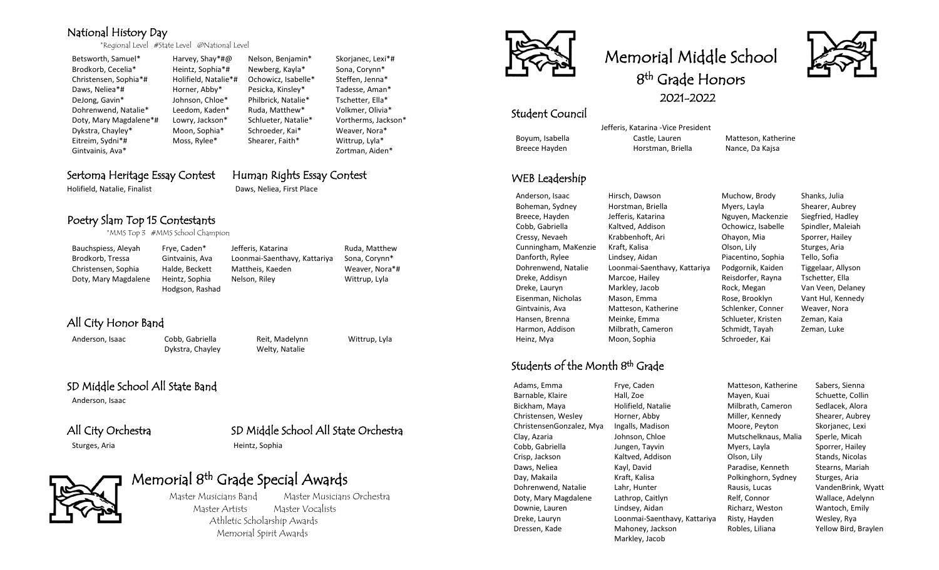### National History Day

\*Regional Level #State Level @National Level

Betsworth, Samuel\* Harvey, Shay\*#@ Nelson, Benjamin\* Skorjanec, Lexi\*# Brodkorb, Cecelia\* Heintz, Sophia\*# Newberg, Kayla\* Sona, Corynn\* Christensen, Sophia\*# Holifield, Natalie\*# Ochowicz, Isabelle\* Steffen, Jenna\* Daws, Neliea\*# Horner, Abby\* Pesicka, Kinsley\* Tadesse, Aman\* DeJong, Gavin\* Johnson, Chloe\* Philbrick, Natalie\* Tschetter, Ella\* Dohrenwend, Natalie\* Leedom, Kaden\* Ruda, Matthew\* Volkmer, Olivia\* Doty, Mary Magdalene\*# Lowry, Jackson\* Schlueter, Natalie\* Vortherms, Jackson\* Dykstra, Chayley\* Moon, Sophia\* Schroeder, Kai\* Weaver, Nora\* Eitreim, Sydni\*# Moss, Rylee\* Shearer, Faith\* Wittrup, Lyla\* Gintvainis, Ava\* Zortman, Aiden\*

### Sertoma Heritage Essay Contest Human Rights Essay Contest

Holifield, Natalie, Finalist Daws, Neliea, First Place

### Poetry Slam Top 15 Contestants

\*MMS Top 3 #MMS School Champion

| Bauchspiess, Aleyah  | Frye, Caden*    | Jefferis, Katarina           | Ruda, Matthew  |
|----------------------|-----------------|------------------------------|----------------|
| Brodkorb, Tressa     | Gintvainis, Ava | Loonmai-Saenthavy, Kattariya | Sona, Corynn*  |
| Christensen, Sophia  | Halde, Beckett  | Mattheis, Kaeden             | Weaver, Nora*# |
| Doty, Mary Magdalene | Heintz, Sophia  | Nelson, Riley                | Wittrup, Lyla  |
|                      | Hodgson, Rashad |                              |                |

# All City Honor Band

Anderson, Isaac Cobb, Gabriella Reit, Madelynn Wittrup, Lyla Dykstra, Chayley Welty, Natalie

### SD Middle School All State Band

Anderson, Isaac

### All City Orchestra SD Middle School All State Orchestra Sturges, Aria **Heintz**, Sophia

# Memorial 8<sup>th</sup> Grade Special Awards



 Master Musicians Band Master Musicians Orchestra Master Artists Master Vocalists Athletic Scholarship Awards Memorial Spirit Awards



# Memorial Middle School

8<sup>th</sup> Grade Honors



2021-2022

### Student Council

 Jefferis, Katarina -Vice President Boyum, Isabella **Castle, Lauren Matteson, Katherine** Breece Hayden Horstman, Briella Nance, Da Kajsa

WEB Leadership

## Students of the Month 8 th Grade

Dressen, Kade Mahoney, Jackson Robles, Liliana Yellow Bird, Braylen

Markley, Jacob

Anderson, Isaac Hirsch, Dawson Muchow, Brody Shanks, Julia Boheman, Sydney Horstman, Briella Myers, Layla Shearer, Aubrey Breece, Hayden **Jefferis, Katarina** Nguyen, Mackenzie Siegfried, Hadley Cobb, Gabriella Kaltved, Addison Cohowicz, Isabelle Spindler, Maleiah Cressy, Nevaeh Krabbenhoft, Ari Ohayon, Mia Sporrer, Hailey Cunningham, MaKenzie Kraft, Kalisa Olson, Lily Sturges, Aria Danforth, Rylee Lindsey, Aidan Piacentino, Sophia Tello, Sofia Dohrenwend, Natalie Loonmai-Saenthavy, Kattariya Podgornik, Kaiden Tiggelaar, Allyson Dreke, Addisyn Marcoe, Hailey Reisdorfer, Rayna Tschetter, Ella Dreke, Lauryn Markley, Jacob Rock, Megan Van Veen, Delaney Eisenman, Nicholas Mason, Emma Rose, Brooklyn Vant Hul, Kennedy Gintvainis, Ava **Matteson, Katherine** Schlenker, Conner Weaver, Nora Hansen, Brenna Meinke, Emma Schlueter, Kristen Zeman, Kaia Harmon, Addison Milbrath, Cameron Schmidt, Tayah Zeman, Luke Heinz, Mya Moon, Sophia Schroeder, Kai

Adams, Emma Frye, Caden Matteson, Katherine Sabers, Sienna Barnable, Klaire **Hall, Zoe Mayen, Kuai** Schuette, Collin Bickham, Maya **Holifield, Natalie Milbrath, Cameron** Sedlacek, Alora Christensen, Wesley Horner, Abby Miller, Kennedy Shearer, Aubrey ChristensenGonzalez, Mya Ingalls, Madison Moore, Peyton Skorjanec, Lexi Clay, Azaria Johnson, Chloe Mutschelknaus, Malia Sperle, Micah Cobb, Gabriella **Jungen, Tayvin** Myers, Layla Sporrer, Hailey Crisp, Jackson **Kaltved, Addison** Olson, Lily Stands, Nicolas Daws, Neliea Kayl, David Paradise, Kenneth Stearns, Mariah Day, Makaila **Kraft, Kalisa** Kraft, Kalisa Polkinghorn, Sydney Sturges, Aria Dohrenwend, Natalie Lahr, Hunter Rausis, Lucas VandenBrink, Wyatt Doty, Mary Magdalene Lathrop, Caitlyn Relf, Connor Wallace, Adelynn Downie, Lauren Lindsey, Aidan Richarz, Weston Wantoch, Emily Dreke, Lauryn Loonmai-Saenthavy, Kattariya Risty, Hayden Wesley, Rya